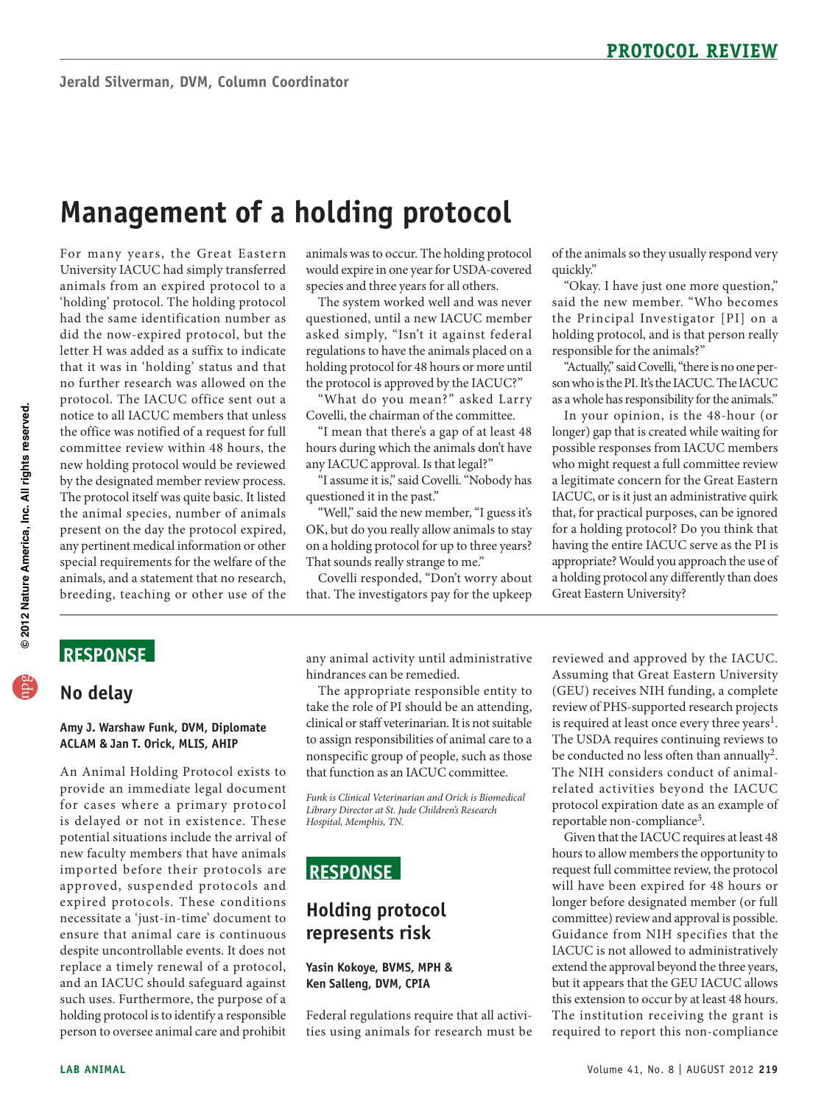# **Management of a holding protocol**

 animals from an expired protocol to a 'holding' protocol. The holding protocol had the same identification number as new holding protocol would be reviewed The protocol itself was quite basic. It listed For many years, the Great Eastern University IACUC had simply transferred did the now-expired protocol, but the letter H was added as a suffix to indicate that it was in 'holding' status and that no further research was allowed on the protocol. The IACUC office sent out a notice to all IACUC members that unless the office was notified of a request for full committee review within 48 hours, the by the designated member review process. the animal species, number of animals present on the day the protocol expired, any pertinent medical information or other special requirements for the welfare of the animals, and a statement that no research, breeding, teaching or other use of the

 animals was to occur. The holding protocol would expire in one year for USDA-covered species and three years for all others.

 questioned, until a new IACUC member The system worked well and was never asked simply, "Isn't it against federal regulations to have the animals placed on a holding protocol for 48 hours or more until the protocol is approved by the IACUC?"

"What do you mean?" asked Larry Covelli, the chairman of the committee.

"I mean that there's a gap of at least 48 hours during which the animals don't have any IACUC approval. Is that legal?"

"I assume it is," said Covelli. "Nobody has questioned it in the past."

"Well," said the new member, "I guess it's OK, but do you really allow animals to stay on a holding protocol for up to three years? That sounds really strange to me."

Covelli responded, "Don't worry about that. The investigators pay for the upkeep

of the animals so they usually respond very quickly."

"Okay. I have just one more question," said the new member. "Who becomes the Principal Investigator [PI] on a holding protocol, and is that person really responsible for the animals?"

"Actually," said Covelli, "there is no one person who is the PI. It's the IACUC. The IACUC as a whole has responsibility for the animals."

In your opinion, is the 48-hour (or longer) gap that is created while waiting for possible responses from IACUC members who might request a full committee review a legitimate concern for the Great Eastern IACUC, or is it just an administrative quirk that, for practical purposes, can be ignored for a holding protocol? Do you think that having the entire IACUC serve as the PI is appropriate? Would you approach the use of a holding protocol any differently than does Great Eastern University?

# **ReSponSe**

### **no delay**

#### **Amy J. Warshaw Funk, DVM, Diplomate ACLAM & Jan T. orick, MLIS, AHIp**

 provide an immediate legal document potential situations include the arrival of new faculty members that have animals imported before their protocols are approved, suspended protocols and expired protocols. These conditions ensure that animal care is continuous despite uncontrollable events. It does not replace a timely renewal of a protocol, such uses. Furthermore, the purpose of a holding protocol is to identify a responsible An Animal Holding Protocol exists to for cases where a primary protocol is delayed or not in existence. These necessitate a 'just-in-time' document to and an IACUC should safeguard against person to oversee animal care and prohibit

any animal activity until administrative hindrances can be remedied.

 take the role of PI should be an attending, clinical or staff veterinarian. It is not suitable The appropriate responsible entity to to assign responsibilities of animal care to a nonspecific group of people, such as those that function as an IACUC committee.

*Funk is Clinical Veterinarian and Orick is Biomedical Library Director at St. Jude Children's Research Hospital, Memphis, TN.* 

# **ReSponSe**

### **Holding protocol represents risk**

#### **Yasin Kokoye, BVMS, MpH & Ken Salleng, DVM, CpIA**

Federal regulations require that all activities using animals for research must be reviewed and approved by the IACUC. Assuming that Great Eastern University (GEU) receives NIH funding, a complete review of PHS-supported research projects is required at least once every three years<sup>1</sup>. The USDA requires continuing reviews to be conducted no less often than annually<sup>2</sup>. The NIH considers conduct of animalrelated activities beyond the IACUC protocol expiration date as an example of reportable non-compliance3.

 committee) review and approval is possible. IACUC is not allowed to administratively Given that the IACUC requires at least 48 hours to allow members the opportunity to request full committee review, the protocol will have been expired for 48 hours or longer before designated member (or full Guidance from NIH specifies that the extend the approval beyond the three years, but it appears that the GEU IACUC allows this extension to occur by at least 48 hours. The institution receiving the grant is required to report this non-compliance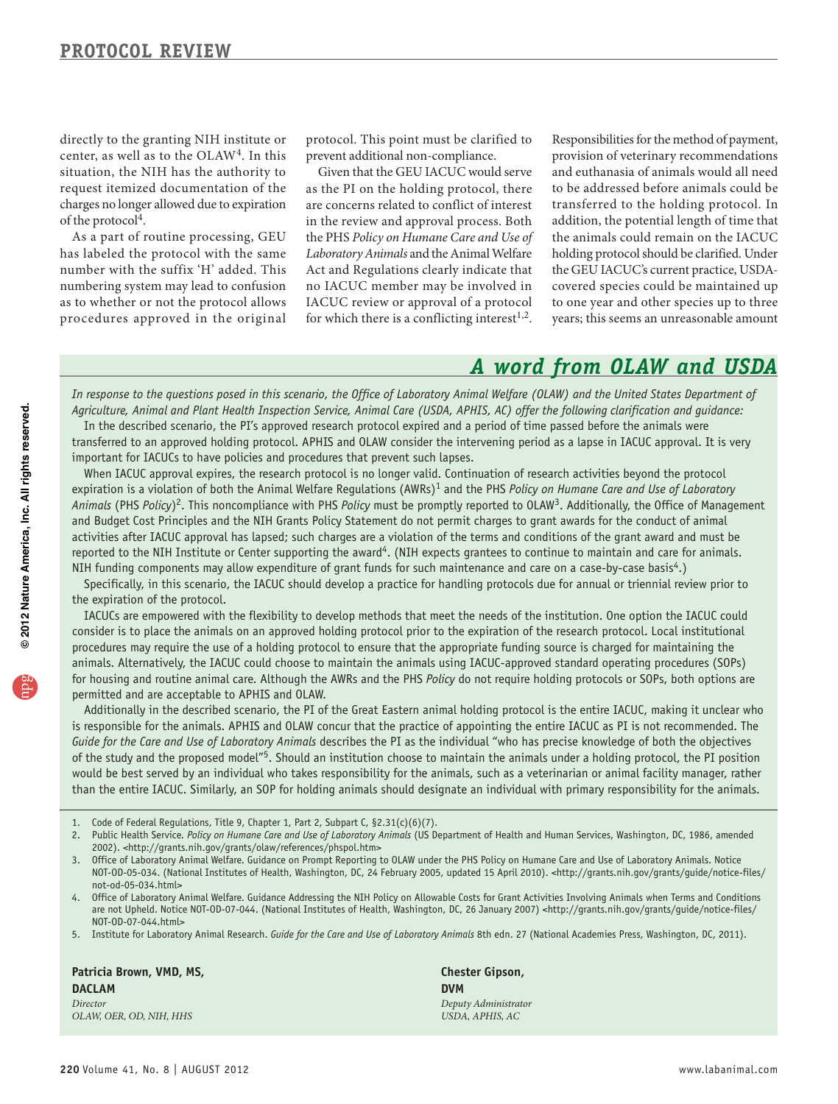directly to the granting NIH institute or center, as well as to the OLAW4. In this situation, the NIH has the authority to request itemized documentation of the charges no longer allowed due to expiration of the protocol<sup>4</sup>.

 numbering system may lead to confusion As a part of routine processing, GEU has labeled the protocol with the same number with the suffix 'H' added. This as to whether or not the protocol allows procedures approved in the original

protocol. This point must be clarified to prevent additional non-compliance.

 Act and Regulations clearly indicate that Given that the GEU IACUC would serve as the PI on the holding protocol, there are concerns related to conflict of interest in the review and approval process. Both the PHS *Policy on Humane Care and Use of Laboratory Animals* and the Animal Welfare no IACUC member may be involved in IACUC review or approval of a protocol for which there is a conflicting interest<sup>1,2</sup>.

 Responsibilities for the method of payment, provision of veterinary recommendations and euthanasia of animals would all need to be addressed before animals could be transferred to the holding protocol. In addition, the potential length of time that the animals could remain on the IACUC holding protocol should be clarified. Under the GEU IACUC's current practice, USDAcovered species could be maintained up to one year and other species up to three years; this seems an unreasonable amount

# *A word from OLAW and USDA*

*In response to the questions posed in this scenario, the Office of Laboratory Animal Welfare (OLAW) and the United States Department of Agriculture, Animal and Plant Health Inspection Service, Animal Care (USDA, APHIS, AC) offer the following clarification and guidance:* 

In the described scenario, the PI's approved research protocol expired and a period of time passed before the animals were transferred to an approved holding protocol. APHIS and OLAW consider the intervening period as a lapse in IACUC approval. It is very important for IACUCs to have policies and procedures that prevent such lapses.

When IACUC approval expires, the research protocol is no longer valid. Continuation of research activities beyond the protocol expiration is a violation of both the Animal Welfare Regulations (AWRs)<sup>1</sup> and the PHS *Policy on Humane Care and Use of Laboratory Animals* (PHS *Policy*)2. This noncompliance with PHS *Policy* must be promptly reported to OLAW3. Additionally, the Office of Management and Budget Cost Principles and the NIH Grants Policy Statement do not permit charges to grant awards for the conduct of animal activities after IACUC approval has lapsed; such charges are a violation of the terms and conditions of the grant award and must be reported to the NIH Institute or Center supporting the award<sup>4</sup>. (NIH expects grantees to continue to maintain and care for animals. NIH funding components may allow expenditure of grant funds for such maintenance and care on a case-by-case basis<sup>4</sup>.)

Specifically, in this scenario, the IACUC should develop a practice for handling protocols due for annual or triennial review prior to the expiration of the protocol.

IACUCs are empowered with the flexibility to develop methods that meet the needs of the institution. One option the IACUC could consider is to place the animals on an approved holding protocol prior to the expiration of the research protocol. Local institutional procedures may require the use of a holding protocol to ensure that the appropriate funding source is charged for maintaining the animals. Alternatively, the IACUC could choose to maintain the animals using IACUC-approved standard operating procedures (SOPs) for housing and routine animal care. Although the AWRs and the PHS *Policy* do not require holding protocols or SOPs, both options are permitted and are acceptable to APHIS and OLAW.

Additionally in the described scenario, the PI of the Great Eastern animal holding protocol is the entire IACUC, making it unclear who is responsible for the animals. APHIS and OLAW concur that the practice of appointing the entire IACUC as PI is not recommended. The *Guide for the Care and Use of Laboratory Animals* describes the PI as the individual "who has precise knowledge of both the objectives of the study and the proposed model"5. Should an institution choose to maintain the animals under a holding protocol, the PI position would be best served by an individual who takes responsibility for the animals, such as a veterinarian or animal facility manager, rather than the entire IACUC. Similarly, an SOP for holding animals should designate an individual with primary responsibility for the animals.

- Code of Federal Regulations, Title 9, Chapter 1, Part 2, Subpart C, §2.31(c)(6)(7).
- 2. Public Health Service. *Policy on Humane Care and Use of Laboratory Animals* (US Department of Health and Human Services, Washington, DC, 1986, amended 2002). <http://grants.nih.gov/grants/olaw/references/phspol.htm>
- 3. Office of Laboratory Animal Welfare. Guidance on Prompt Reporting to OLAW under the PHS Policy on Humane Care and Use of Laboratory Animals. Notice NOT-OD-05-034. (National Institutes of Health, Washington, DC, 24 February 2005, updated 15 April 2010). <http://grants.nih.gov/grants/guide/notice-files/ not-od-05-034.html>
- 4. Office of Laboratory Animal Welfare. Guidance Addressing the NIH Policy on Allowable Costs for Grant Activities Involving Animals when Terms and Conditions are not Upheld. Notice NOT-OD-07-044. (National Institutes of Health, Washington, DC, 26 January 2007) <http://grants.nih.gov/grants/guide/notice-files/ NOT-OD-07-044.html>
- 5. Institute for Laboratory Animal Research. *Guide for the Care and Use of Laboratory Animals* 8th edn. 27 (National Academies Press, Washington, DC, 2011).

**patricia Brown, VMD, MS, DACLAM**  *Director OLAW, OER, OD, NIH, HHS* 

**Chester Gipson, DVM**  *Deputy Administrator USDA, APHIS, AC*